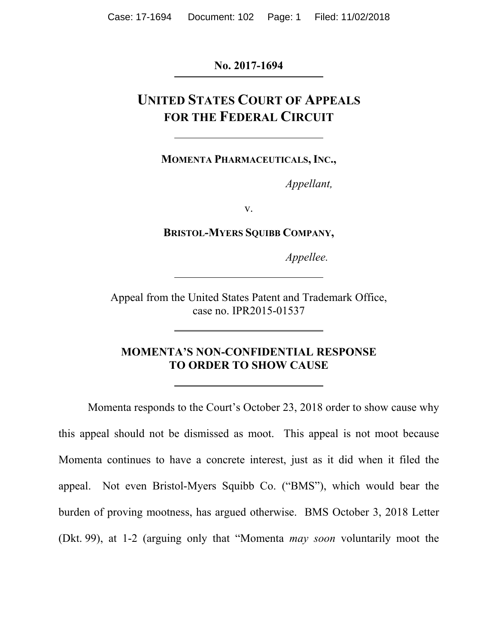### **No. 2017-1694**

# **UNITED STATES COURT OF APPEALS FOR THE FEDERAL CIRCUIT**

**MOMENTA PHARMACEUTICALS, INC.,** 

*Appellant,* 

v.

**BRISTOL-MYERS SQUIBB COMPANY,** 

*Appellee.* 

Appeal from the United States Patent and Trademark Office, case no. IPR2015-01537

### **MOMENTA'S NON-CONFIDENTIAL RESPONSE TO ORDER TO SHOW CAUSE**

Momenta responds to the Court's October 23, 2018 order to show cause why this appeal should not be dismissed as moot. This appeal is not moot because Momenta continues to have a concrete interest, just as it did when it filed the appeal. Not even Bristol-Myers Squibb Co. ("BMS"), which would bear the burden of proving mootness, has argued otherwise. BMS October 3, 2018 Letter (Dkt. 99), at 1-2 (arguing only that "Momenta *may soon* voluntarily moot the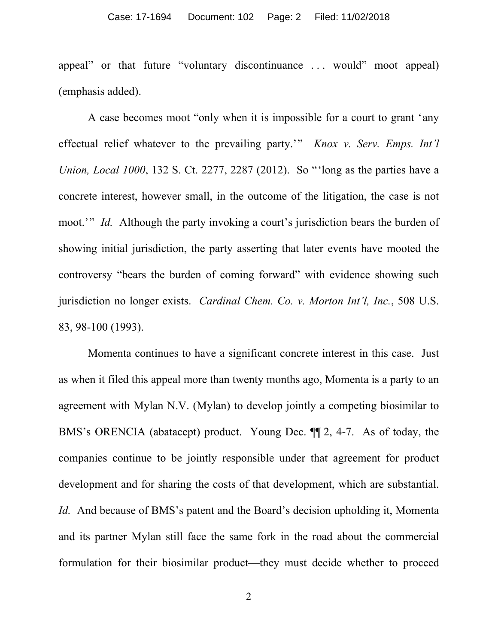#### Case: 17-1694 Document: 102 Page: 2 Filed: 11/02/2018

appeal" or that future "voluntary discontinuance . . . would" moot appeal) (emphasis added).

A case becomes moot "only when it is impossible for a court to grant 'any effectual relief whatever to the prevailing party.'" *Knox v. Serv. Emps. Int'l Union, Local 1000*, 132 S. Ct. 2277, 2287 (2012). So "'long as the parties have a concrete interest, however small, in the outcome of the litigation, the case is not moot.'" *Id.* Although the party invoking a court's jurisdiction bears the burden of showing initial jurisdiction, the party asserting that later events have mooted the controversy "bears the burden of coming forward" with evidence showing such jurisdiction no longer exists. *Cardinal Chem. Co. v. Morton Int'l, Inc.*, 508 U.S. 83, 98-100 (1993).

Momenta continues to have a significant concrete interest in this case. Just as when it filed this appeal more than twenty months ago, Momenta is a party to an agreement with Mylan N.V. (Mylan) to develop jointly a competing biosimilar to BMS's ORENCIA (abatacept) product. Young Dec. ¶¶ 2, 4-7. As of today, the companies continue to be jointly responsible under that agreement for product development and for sharing the costs of that development, which are substantial. *Id.* And because of BMS's patent and the Board's decision upholding it, Momenta and its partner Mylan still face the same fork in the road about the commercial formulation for their biosimilar product—they must decide whether to proceed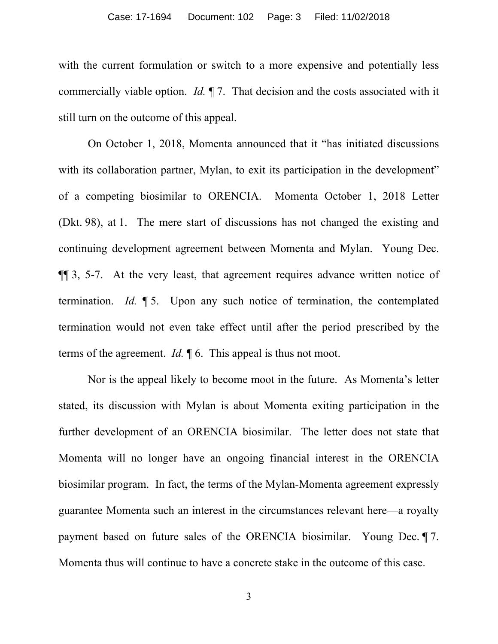with the current formulation or switch to a more expensive and potentially less commercially viable option. *Id.* ¶ 7. That decision and the costs associated with it still turn on the outcome of this appeal.

On October 1, 2018, Momenta announced that it "has initiated discussions with its collaboration partner, Mylan, to exit its participation in the development" of a competing biosimilar to ORENCIA. Momenta October 1, 2018 Letter (Dkt. 98), at 1. The mere start of discussions has not changed the existing and continuing development agreement between Momenta and Mylan. Young Dec. ¶¶ 3, 5-7. At the very least, that agreement requires advance written notice of termination. *Id.* ¶ 5. Upon any such notice of termination, the contemplated termination would not even take effect until after the period prescribed by the terms of the agreement. *Id.* ¶ 6. This appeal is thus not moot.

Nor is the appeal likely to become moot in the future. As Momenta's letter stated, its discussion with Mylan is about Momenta exiting participation in the further development of an ORENCIA biosimilar. The letter does not state that Momenta will no longer have an ongoing financial interest in the ORENCIA biosimilar program. In fact, the terms of the Mylan-Momenta agreement expressly guarantee Momenta such an interest in the circumstances relevant here—a royalty payment based on future sales of the ORENCIA biosimilar. Young Dec. ¶ 7. Momenta thus will continue to have a concrete stake in the outcome of this case.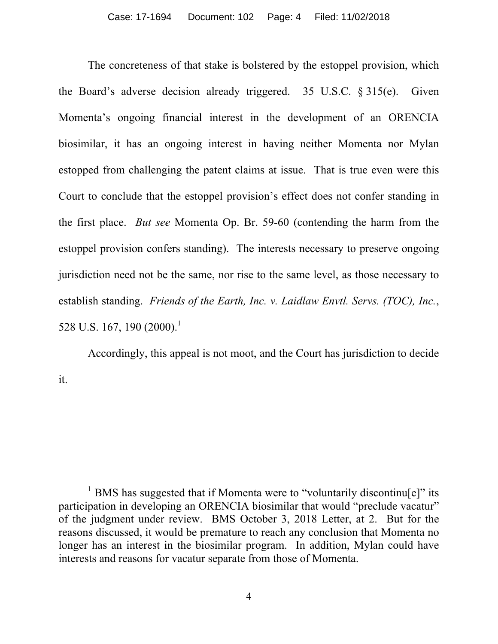The concreteness of that stake is bolstered by the estoppel provision, which the Board's adverse decision already triggered. 35 U.S.C. § 315(e). Given Momenta's ongoing financial interest in the development of an ORENCIA biosimilar, it has an ongoing interest in having neither Momenta nor Mylan estopped from challenging the patent claims at issue. That is true even were this Court to conclude that the estoppel provision's effect does not confer standing in the first place. *But see* Momenta Op. Br. 59-60 (contending the harm from the estoppel provision confers standing). The interests necessary to preserve ongoing jurisdiction need not be the same, nor rise to the same level, as those necessary to establish standing. *Friends of the Earth, Inc. v. Laidlaw Envtl. Servs. (TOC), Inc.*, 528 U.S. 167, 190 (2000).<sup>1</sup>

Accordingly, this appeal is not moot, and the Court has jurisdiction to decide it.

<sup>&</sup>lt;u>1</u>  $\frac{1}{1}$  BMS has suggested that if Momenta were to "voluntarily discontinu[e]" its participation in developing an ORENCIA biosimilar that would "preclude vacatur" of the judgment under review. BMS October 3, 2018 Letter, at 2. But for the reasons discussed, it would be premature to reach any conclusion that Momenta no longer has an interest in the biosimilar program. In addition, Mylan could have interests and reasons for vacatur separate from those of Momenta.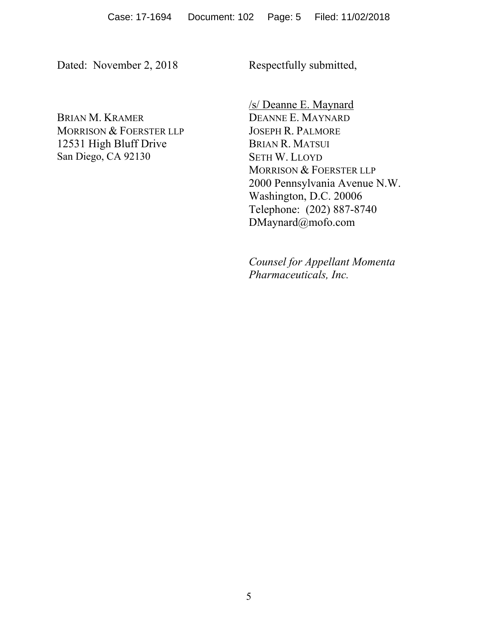Dated: November 2, 2018

Respectfully submitted,

BRIAN M. KRAMER MORRISON & FOERSTER LLP 12531 High Bluff Drive San Diego, CA 92130

/s/ Deanne E. Maynard DEANNE E. MAYNARD JOSEPH R. PALMORE BRIAN R. MATSUI SETH W. LLOYD MORRISON & FOERSTER LLP 2000 Pennsylvania Avenue N.W. Washington, D.C. 20006 Telephone: (202) 887-8740 DMaynard@mofo.com

*Counsel for Appellant Momenta Pharmaceuticals, Inc.*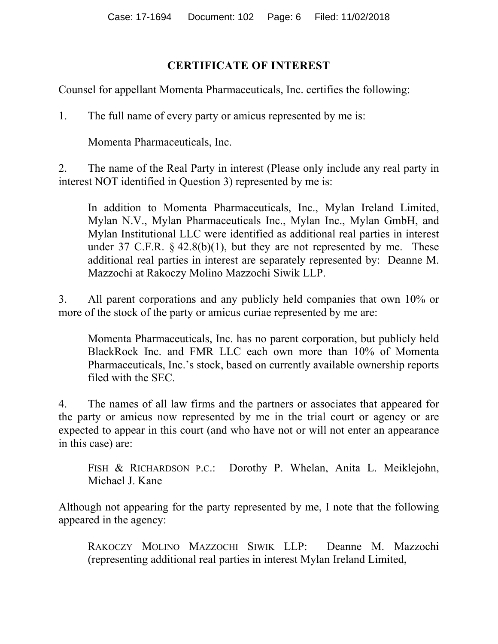### **CERTIFICATE OF INTEREST**

Counsel for appellant Momenta Pharmaceuticals, Inc. certifies the following:

1. The full name of every party or amicus represented by me is:

Momenta Pharmaceuticals, Inc.

2. The name of the Real Party in interest (Please only include any real party in interest NOT identified in Question 3) represented by me is:

In addition to Momenta Pharmaceuticals, Inc., Mylan Ireland Limited, Mylan N.V., Mylan Pharmaceuticals Inc., Mylan Inc., Mylan GmbH, and Mylan Institutional LLC were identified as additional real parties in interest under 37 C.F.R.  $\S$  42.8(b)(1), but they are not represented by me. These additional real parties in interest are separately represented by: Deanne M. Mazzochi at Rakoczy Molino Mazzochi Siwik LLP.

3. All parent corporations and any publicly held companies that own 10% or more of the stock of the party or amicus curiae represented by me are:

Momenta Pharmaceuticals, Inc. has no parent corporation, but publicly held BlackRock Inc. and FMR LLC each own more than 10% of Momenta Pharmaceuticals, Inc.'s stock, based on currently available ownership reports filed with the SEC.

4. The names of all law firms and the partners or associates that appeared for the party or amicus now represented by me in the trial court or agency or are expected to appear in this court (and who have not or will not enter an appearance in this case) are:

FISH & RICHARDSON P.C.: Dorothy P. Whelan, Anita L. Meiklejohn, Michael J. Kane

Although not appearing for the party represented by me, I note that the following appeared in the agency:

RAKOCZY MOLINO MAZZOCHI SIWIK LLP: Deanne M. Mazzochi (representing additional real parties in interest Mylan Ireland Limited,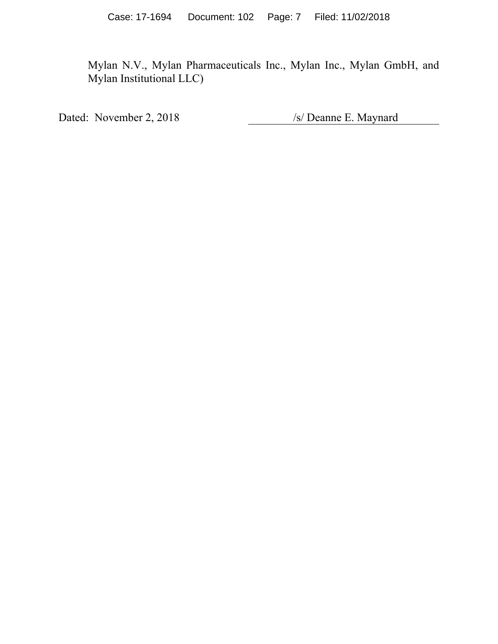Mylan N.V., Mylan Pharmaceuticals Inc., Mylan Inc., Mylan GmbH, and Mylan Institutional LLC)

Dated: November 2, 2018 /s/ Deanne E. Maynard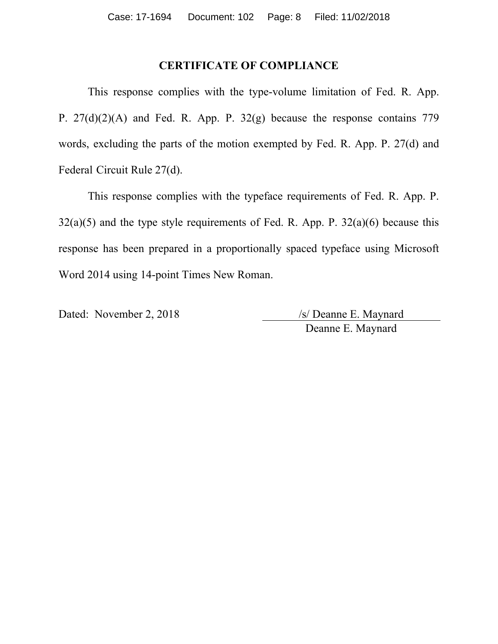### **CERTIFICATE OF COMPLIANCE**

This response complies with the type-volume limitation of Fed. R. App. P. 27(d)(2)(A) and Fed. R. App. P. 32(g) because the response contains 779 words, excluding the parts of the motion exempted by Fed. R. App. P. 27(d) and Federal Circuit Rule 27(d).

This response complies with the typeface requirements of Fed. R. App. P.  $32(a)(5)$  and the type style requirements of Fed. R. App. P.  $32(a)(6)$  because this response has been prepared in a proportionally spaced typeface using Microsoft Word 2014 using 14-point Times New Roman.

Dated: November 2, 2018 /s/ Deanne E. Maynard

Deanne E. Maynard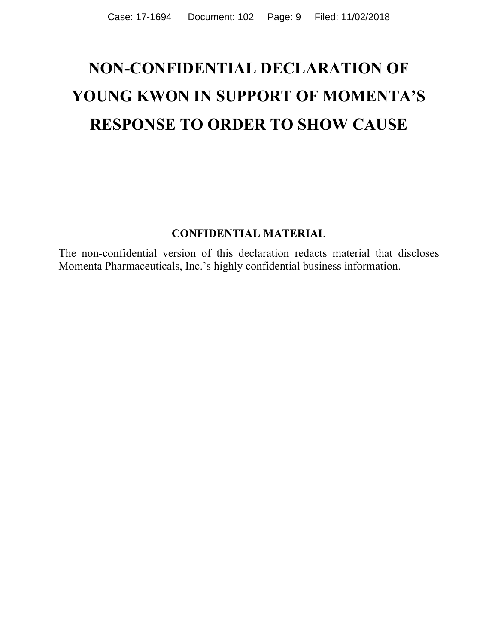# **NON-CONFIDENTIAL DECLARATION OF YOUNG KWON IN SUPPORT OF MOMENTA'S RESPONSE TO ORDER TO SHOW CAUSE**

### **CONFIDENTIAL MATERIAL**

The non-confidential version of this declaration redacts material that discloses Momenta Pharmaceuticals, Inc.'s highly confidential business information.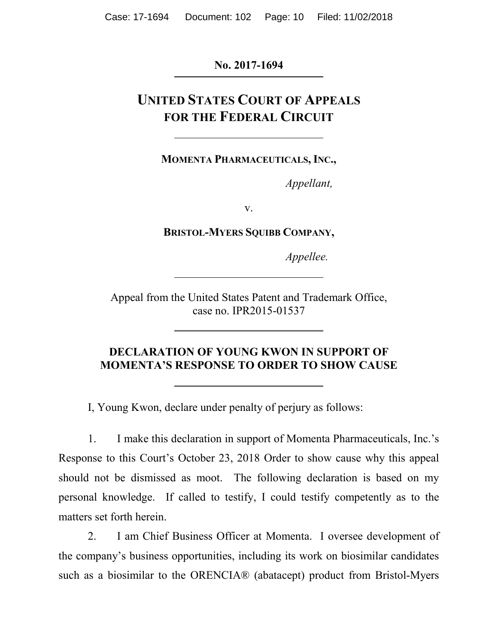### **No. 2017-1694**

# **UNITED STATES COURT OF APPEALS FOR THE FEDERAL CIRCUIT**

**MOMENTA PHARMACEUTICALS, INC.,** 

*Appellant,*

v.

**BRISTOL-MYERS SQUIBB COMPANY,**

*Appellee.*

Appeal from the United States Patent and Trademark Office, case no. IPR2015-01537

### **DECLARATION OF YOUNG KWON IN SUPPORT OF MOMENTA'S RESPONSE TO ORDER TO SHOW CAUSE**

I, Young Kwon, declare under penalty of perjury as follows:

1. I make this declaration in support of Momenta Pharmaceuticals, Inc.'s Response to this Court's October 23, 2018 Order to show cause why this appeal should not be dismissed as moot. The following declaration is based on my personal knowledge. If called to testify, I could testify competently as to the matters set forth herein.

2. I am Chief Business Officer at Momenta. I oversee development of the company's business opportunities, including its work on biosimilar candidates such as a biosimilar to the ORENCIA® (abatacept) product from Bristol-Myers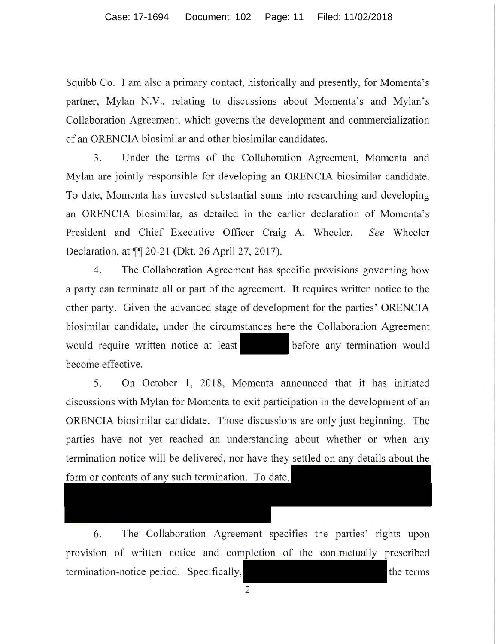Squibb Co. I am also a primary contact, historically and presently, for Momenta's partner, Mylan N.V., relating to discussions about Momenta's and Mylan's Collaboration Agreement, which governs the development and commercialization of an ORENCIA biosimilar and other biosimilar candidates.

3. Under the terms of the Collaboration Agreement, Momenta and Mylan are jointly responsible for developing an ORENCIA biosimilar candidate. To date, Momenta has invested substantial sums into researching and developing an ORENCIA biosimilar, as detailed in the earlier declaration of Momcnta's President and Chief Executive Officer Craig A. Wheeler. *See* Wheeler Declaration, at  $\P$  20-21 (Dkt. 26 April 27, 2017).

4. The Collaboration Agreement has specific provisions governing how a party can terminate all or part of the agreement. It requires written notice to the other party. Given the advanced stage of development for the parties' ORENCIA biosimilar candidate, under the circumstances here the Collaboration Agreement would require written notice at least before any termination would become effective.

5. On October 1, 2018, Momenta announced that it has initiated discussions with Mylan for Momenta to exit participation in the development of an ORENCIA biosimilar candidate. Those discussions are only just beginning. The parties have not yet reached an understanding about whether or when any termination notice will be delivered, nor have they settled on any details about the form or contents of any such termination. To date,

6. The Collaboration Agreement specifies the parties' rights upon provision of written notice and completion of the contractually prescribed termination-notice period. Specifically,

2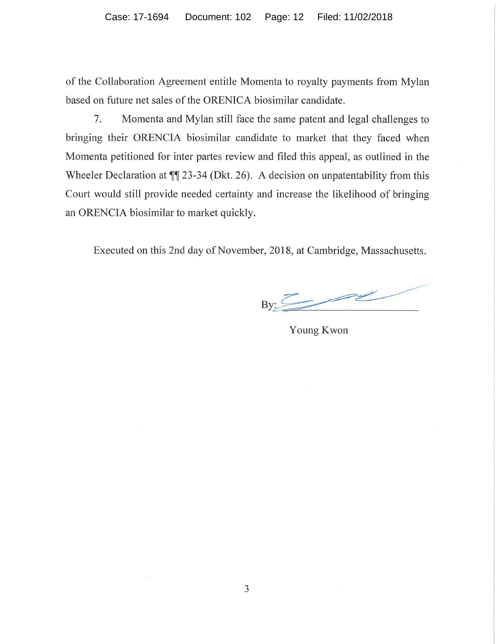of the Collaboration Agreement entitle Momenta to royalty payments from Mylan based on future net sales of the ORENICA biosimilar candidate.

7. Momenta and Mylan still face the same patent and legal challenges to bringing their ORENCIA biosimilar candidate to market that they faced when Momenta petitioned for inter partes review and filed this appeal, as outlined in the Wheeler Declaration at  $\P$ <sup> $\uparrow$ </sup> 23-34 (Dkt. 26). A decision on unpatentability from this Court would still provide needed certainty and increase the likelihood of bringing an ORENCIA biosimilar to market quickly.

Executed on this 2nd day of November, 2018, at Cambridge, Massachusetts.

By~ - ~---- Massachusetts.

Young Kwon